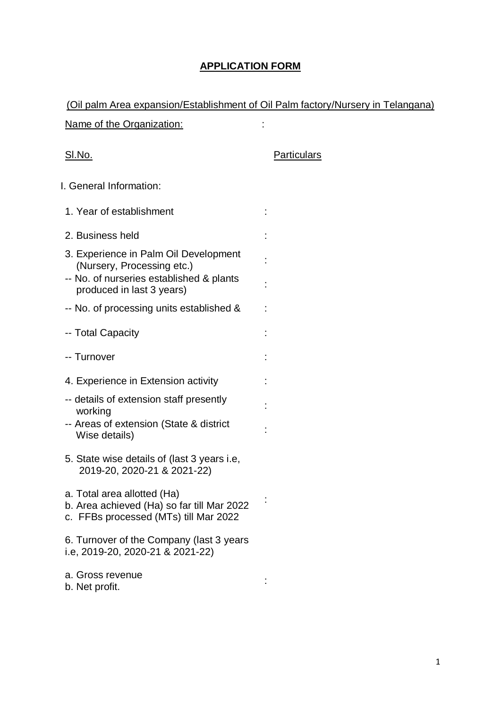## **APPLICATION FORM**

| (Oil palm Area expansion/Establishment of Oil Palm factory/Nursery in Telangana)                                                             |                    |
|----------------------------------------------------------------------------------------------------------------------------------------------|--------------------|
| <u>Name of the Organization:</u>                                                                                                             |                    |
| <u>SI.No.</u>                                                                                                                                | <b>Particulars</b> |
| I. General Information:                                                                                                                      |                    |
| 1. Year of establishment                                                                                                                     |                    |
| 2. Business held                                                                                                                             |                    |
| 3. Experience in Palm Oil Development<br>(Nursery, Processing etc.)<br>-- No. of nurseries established & plants<br>produced in last 3 years) |                    |
| -- No. of processing units established &                                                                                                     |                    |
| -- Total Capacity                                                                                                                            |                    |
| -- Turnover                                                                                                                                  |                    |
| 4. Experience in Extension activity                                                                                                          |                    |
| -- details of extension staff presently<br>working<br>-- Areas of extension (State & district<br>Wise details)                               |                    |
| 5. State wise details of (last 3 years i.e.<br>2019-20, 2020-21 & 2021-22)                                                                   |                    |
| a. Total area allotted (Ha)<br>b. Area achieved (Ha) so far till Mar 2022<br>c. FFBs processed (MTs) till Mar 2022                           |                    |
| 6. Turnover of the Company (last 3 years<br>i.e, 2019-20, 2020-21 & 2021-22)                                                                 |                    |
| a. Gross revenue<br>b. Net profit.                                                                                                           |                    |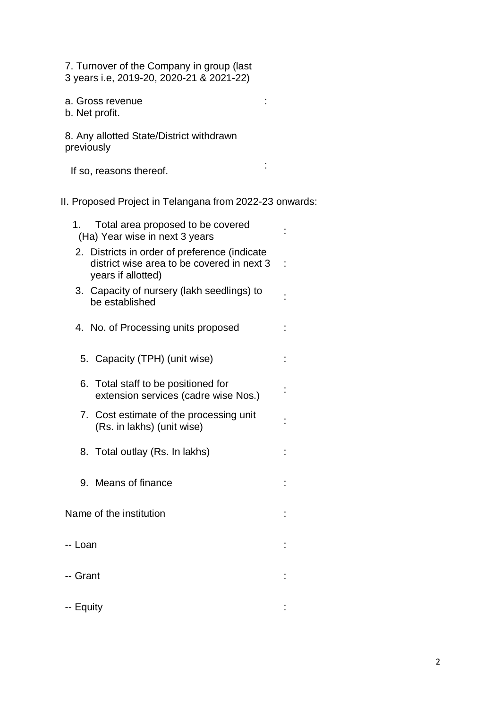7. Turnover of the Company in group (last 3 years i.e, 2019-20, 2020-21 & 2021-22)

a. Gross revenue

b. Net profit.

8. Any allotted State/District withdrawn previously

If so, reasons thereof. :

:

II. Proposed Project in Telangana from 2022-23 onwards:

| Total area proposed to be covered<br>1.<br>(Ha) Year wise in next 3 years                                         |    |
|-------------------------------------------------------------------------------------------------------------------|----|
| 2. Districts in order of preference (indicate<br>district wise area to be covered in next 3<br>years if allotted) | t, |
| 3. Capacity of nursery (lakh seedlings) to<br>be established                                                      |    |
| 4. No. of Processing units proposed                                                                               |    |
| 5. Capacity (TPH) (unit wise)                                                                                     |    |
| Total staff to be positioned for<br>6.<br>extension services (cadre wise Nos.)                                    |    |
| 7. Cost estimate of the processing unit<br>(Rs. in lakhs) (unit wise)                                             |    |
| 8. Total outlay (Rs. In lakhs)                                                                                    |    |
| 9. Means of finance                                                                                               |    |
| Name of the institution                                                                                           |    |
| -- Loan                                                                                                           |    |
| -- Grant                                                                                                          |    |
| -- Equity                                                                                                         |    |